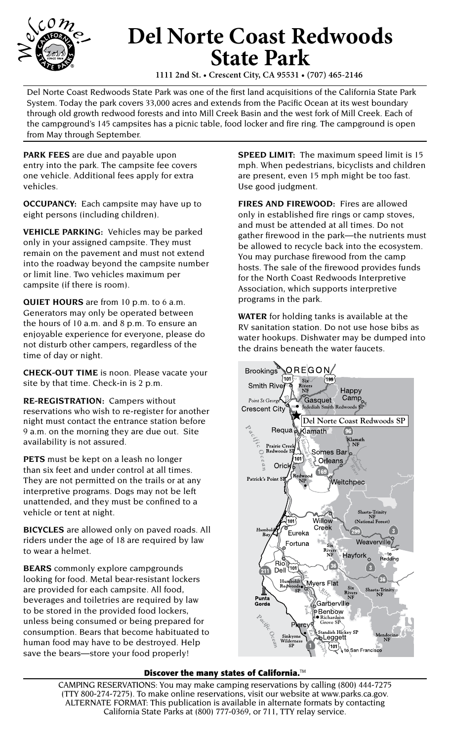

## **Del Norte Coast Redwoods State Park**

**1111 2nd St. • Crescent City, CA 95531 • (707) 465-2146**

Del Norte Coast Redwoods State Park was one of the first land acquisitions of the California State Park System. Today the park covers 33,000 acres and extends from the Pacific Ocean at its west boundary through old growth redwood forests and into Mill Creek Basin and the west fork of Mill Creek. Each of the campground's 145 campsites has a picnic table, food locker and fire ring. The campground is open from May through September.

**PARK FEES** are due and payable upon entry into the park. The campsite fee covers one vehicle. Additional fees apply for extra vehicles.

**OCCUPANCY:** Each campsite may have up to eight persons (including children).

**VEHICLE PARKING:** Vehicles may be parked only in your assigned campsite. They must remain on the pavement and must not extend into the roadway beyond the campsite number or limit line. Two vehicles maximum per campsite (if there is room).

**QUIET HOURS** are from 10 p.m. to 6 a.m. Generators may only be operated between the hours of 10 a.m. and 8 p.m. To ensure an enjoyable experience for everyone, please do not disturb other campers, regardless of the time of day or night.

**CHECK-OUT TIME** is noon. Please vacate your site by that time. Check-in is 2 p.m.

**RE-REGISTRATION:** Campers without reservations who wish to re-register for another night must contact the entrance station before 9 a.m. on the morning they are due out. Site availability is not assured.

**PETS** must be kept on a leash no longer than six feet and under control at all times. They are not permitted on the trails or at any interpretive programs. Dogs may not be left unattended, and they must be confined to a vehicle or tent at night.

**BICYCLES** are allowed only on paved roads. All riders under the age of 18 are required by law to wear a helmet.

**BEARS** commonly explore campgrounds looking for food. Metal bear-resistant lockers are provided for each campsite. All food, beverages and toiletries are required by law to be stored in the provided food lockers, unless being consumed or being prepared for consumption. Bears that become habituated to human food may have to be destroyed. Help save the bears—store your food properly!

**SPEED LIMIT:** The maximum speed limit is 15 mph. When pedestrians, bicyclists and children are present, even 15 mph might be too fast. Use good judgment.

**FIRES AND FIREWOOD:** Fires are allowed only in established fire rings or camp stoves, and must be attended at all times. Do not gather firewood in the park—the nutrients must be allowed to recycle back into the ecosystem. You may purchase firewood from the camp hosts. The sale of the firewood provides funds for the North Coast Redwoods Interpretive Association, which supports interpretive programs in the park.

**WATER** for holding tanks is available at the RV sanitation station. Do not use hose bibs as water hookups. Dishwater may be dumped into the drains beneath the water faucets.



## **Discover the many states of California.**™

CAMPING RESERVATIONS: You may make camping reservations by calling (800) 444-7275 (TTY 800-274-7275). To make online reservations, visit our website at www.parks.ca.gov. ALTERNATE FORMAT: This publication is available in alternate formats by contacting California State Parks at (800) 777-0369, or 711, TTY relay service.